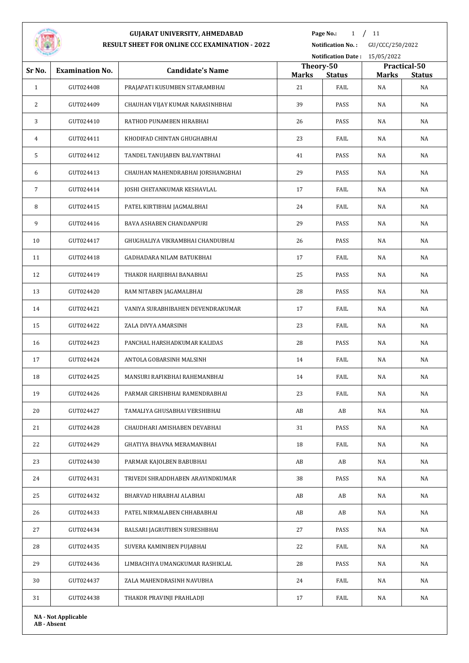

**Page No.:** 1 / 11

**Notification No. :** GU/CCC/250/2022

| <b>STATISTICS</b> |                        |                                   |                           | <b>Notification Date: 15/05/2022</b> |              |                               |
|-------------------|------------------------|-----------------------------------|---------------------------|--------------------------------------|--------------|-------------------------------|
| Sr No.            | <b>Examination No.</b> | <b>Candidate's Name</b>           | Theory-50<br><b>Marks</b> | <b>Status</b>                        | <b>Marks</b> | Practical-50<br><b>Status</b> |
| $\mathbf{1}$      | GUT024408              | PRAJAPATI KUSUMBEN SITARAMBHAI    | 21                        | FAIL                                 | NA           | NA                            |
| 2                 | GUT024409              | CHAUHAN VIJAY KUMAR NARASINHBHAI  | 39                        | PASS                                 | NA           | NA                            |
| 3                 | GUT024410              | RATHOD PUNAMBEN HIRABHAI          | 26                        | PASS                                 | NA           | NA                            |
| 4                 | GUT024411              | KHODIFAD CHINTAN GHUGHABHAI       | 23                        | FAIL                                 | NA           | NA                            |
| 5                 | GUT024412              | TANDEL TANUJABEN BALVANTBHAI      | 41                        | PASS                                 | NA           | NA                            |
| 6                 | GUT024413              | CHAUHAN MAHENDRABHAI JORSHANGBHAI | 29                        | PASS                                 | NA           | NA                            |
| $\overline{7}$    | GUT024414              | JOSHI CHETANKUMAR KESHAVLAL       | 17                        | FAIL                                 | NA           | NA                            |
| 8                 | GUT024415              | PATEL KIRTIBHAI JAGMALBHAI        | 24                        | FAIL                                 | NA           | NA                            |
| 9                 | GUT024416              | BAVA ASHABEN CHANDANPURI          | 29                        | PASS                                 | NA           | NA                            |
| 10                | GUT024417              | GHUGHALIYA VIKRAMBHAI CHANDUBHAI  | 26                        | PASS                                 | NA           | NA                            |
| 11                | GUT024418              | <b>GADHADARA NILAM BATUKBHAI</b>  | 17                        | FAIL                                 | NA           | NA                            |
| 12                | GUT024419              | THAKOR HARJIBHAI BANABHAI         | 25                        | PASS                                 | NA           | NA                            |
| 13                | GUT024420              | RAM NITABEN JAGAMALBHAI           | 28                        | PASS                                 | NA           | NA                            |
| 14                | GUT024421              | VANIYA SURABHIBAHEN DEVENDRAKUMAR | 17                        | FAIL                                 | NA           | NA                            |
| 15                | GUT024422              | ZALA DIVYA AMARSINH               | 23                        | FAIL                                 | NA           | NA                            |
| 16                | GUT024423              | PANCHAL HARSHADKUMAR KALIDAS      | 28                        | PASS                                 | NA           | NA                            |
| 17                | GUT024424              | ANTOLA GOBARSINH MALSINH          | 14                        | FAIL                                 | NA           | NA                            |
| 18                | GUT024425              | MANSURI RAFIKBHAI RAHEMANBHAI     | 14                        | FAIL                                 | NA           | NA                            |
| 19                | GUT024426              | PARMAR GIRISHBHAI RAMENDRABHAI    | 23                        | FAIL                                 | NA           | NA                            |
| $20\,$            | GUT024427              | TAMALIYA GHUSABHAI VERSHIBHAI     | AB                        | AB                                   | NA           | NA                            |
| 21                | GUT024428              | CHAUDHARI AMISHABEN DEVABHAI      | 31                        | PASS                                 | NA           | NA                            |
| 22                | GUT024429              | GHATIYA BHAVNA MERAMANBHAI        | 18                        | FAIL                                 | NA           | NA                            |
| 23                | GUT024430              | PARMAR KAJOLBEN BABUBHAI          | AB                        | AB                                   | NA           | NA                            |
| 24                | GUT024431              | TRIVEDI SHRADDHABEN ARAVINDKUMAR  | 38                        | PASS                                 | NA           | NA                            |
| 25                | GUT024432              | BHARVAD HIRABHAI ALABHAI          | AB                        | AB                                   | NA           | NA                            |
| 26                | GUT024433              | PATEL NIRMALABEN CHHABABHAI       | AB                        | AB                                   | NA           | NA                            |
| 27                | GUT024434              | BALSARI JAGRUTIBEN SURESHBHAI     | 27                        | PASS                                 | NA           | NA                            |
| 28                | GUT024435              | SUVERA KAMINIBEN PUJABHAI         | 22                        | FAIL                                 | NA           | NA                            |
| 29                | GUT024436              | LIMBACHIYA UMANGKUMAR RASHIKLAL   | 28                        | PASS                                 | NA           | NA                            |
| 30                | GUT024437              | ZALA MAHENDRASINH NAVUBHA         | 24                        | FAIL                                 | NA           | NA                            |
| 31                | GUT024438              | THAKOR PRAVINJI PRAHLADJI         | 17                        | FAIL                                 | NA           | NA                            |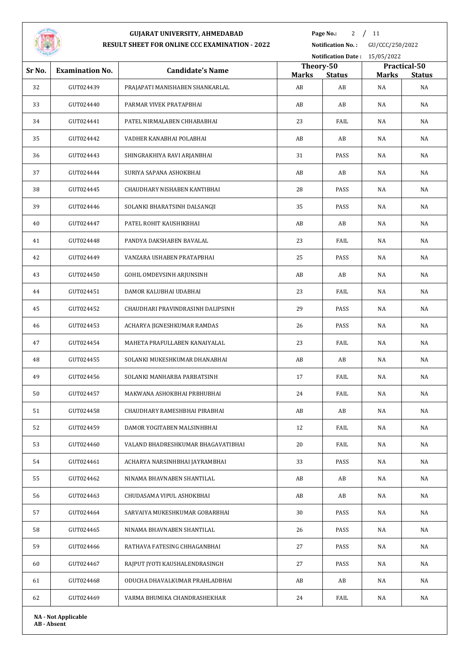

**Page No.:** 2 / 11

**Notification No. :** GU/CCC/250/2022

|        |                        |                                    |                           |               | Notification Date: 15/05/2022 |                               |  |  |
|--------|------------------------|------------------------------------|---------------------------|---------------|-------------------------------|-------------------------------|--|--|
| Sr No. | <b>Examination No.</b> | <b>Candidate's Name</b>            | Theory-50<br><b>Marks</b> | <b>Status</b> | <b>Marks</b>                  | Practical-50<br><b>Status</b> |  |  |
| 32     | GUT024439              | PRAJAPATI MANISHABEN SHANKARLAL    | AB                        | AB            | NA                            | NA                            |  |  |
| 33     | GUT024440              | PARMAR VIVEK PRATAPBHAI            | AB                        | AB            | NA                            | NA                            |  |  |
| 34     | GUT024441              | PATEL NIRMALABEN CHHABABHAI        | 23                        | FAIL          | NA                            | NA                            |  |  |
| 35     | GUT024442              | VADHER KANABHAI POLABHAI           | AB                        | AB            | NA                            | NA                            |  |  |
| 36     | GUT024443              | SHINGRAKHIYA RAVI ARJANBHAI        | 31                        | PASS          | NA                            | NA                            |  |  |
| 37     | GUT024444              | SURIYA SAPANA ASHOKBHAI            | AB                        | AB            | NA                            | NA                            |  |  |
| 38     | GUT024445              | CHAUDHARY NISHABEN KANTIBHAI       | 28                        | PASS          | NA                            | NA                            |  |  |
| 39     | GUT024446              | SOLANKI BHARATSINH DALSANGJI       | 35                        | PASS          | NA                            | NA                            |  |  |
| 40     | GUT024447              | PATEL ROHIT KAUSHIKBHAI            | AB                        | AB            | NA                            | NA                            |  |  |
| 41     | GUT024448              | PANDYA DAKSHABEN BAVALAL           | 23                        | FAIL          | NA                            | NA                            |  |  |
| 42     | GUT024449              | VANZARA USHABEN PRATAPBHAI         | 25                        | PASS          | NA                            | NA                            |  |  |
| 43     | GUT024450              | GOHIL OMDEVSINH ARJUNSINH          | AB                        | AB            | NA                            | NA                            |  |  |
| 44     | GUT024451              | DAMOR KALUBHAI UDABHAI             | 23                        | FAIL          | NA                            | NA                            |  |  |
| 45     | GUT024452              | CHAUDHARI PRAVINDRASINH DALIPSINH  | 29                        | PASS          | NA                            | NA                            |  |  |
| 46     | GUT024453              | ACHARYA JIGNESHKUMAR RAMDAS        | 26                        | PASS          | NA                            | NA                            |  |  |
| 47     | GUT024454              | MAHETA PRAFULLABEN KANAIYALAL      | 23                        | FAIL          | NA                            | NA                            |  |  |
| 48     | GUT024455              | SOLANKI MUKESHKUMAR DHANABHAI      | AB                        | AB            | NA                            | NA                            |  |  |
| 49     | GUT024456              | SOLANKI MANHARBA PARBATSINH        | 17                        | FAIL          | NA                            | NA                            |  |  |
| 50     | GUT024457              | MAKWANA ASHOKBHAI PRBHUBHAI        | 24                        | FAIL          | NA                            | NA                            |  |  |
| 51     | GUT024458              | CHAUDHARY RAMESHBHAI PIRABHAI      | AB                        | AB            | NA                            | NA                            |  |  |
| 52     | GUT024459              | DAMOR YOGITABEN MALSINHBHAI        | 12                        | FAIL          | NA                            | NA                            |  |  |
| 53     | GUT024460              | VALAND BHADRESHKUMAR BHAGAVATIBHAI | 20                        | FAIL          | NA                            | NA                            |  |  |
| 54     | GUT024461              | ACHARYA NARSINHBHAI JAYRAMBHAI     | 33                        | PASS          | NA                            | NA                            |  |  |
| 55     | GUT024462              | NINAMA BHAVNABEN SHANTILAL         | AB                        | AB            | NA                            | NA                            |  |  |
| 56     | GUT024463              | CHUDASAMA VIPUL ASHOKBHAI          | AB                        | AB            | NA                            | NA                            |  |  |
| 57     | GUT024464              | SARVAIYA MUKESHKUMAR GOBARBHAI     | 30                        | PASS          | NA                            | NA                            |  |  |
| 58     | GUT024465              | NINAMA BHAVNABEN SHANTILAL         | 26                        | PASS          | NA                            | NA                            |  |  |
| 59     | GUT024466              | RATHAVA FATESING CHHAGANBHAI       | 27                        | PASS          | NA                            | NA                            |  |  |
| 60     | GUT024467              | RAJPUT JYOTI KAUSHALENDRASINGH     | 27                        | PASS          | NA                            | NA                            |  |  |
| 61     | GUT024468              | ODUCHA DHAVALKUMAR PRAHLADBHAI     | AB                        | AB            | NA                            | NA                            |  |  |
| 62     | GUT024469              | VARMA BHUMIKA CHANDRASHEKHAR       | 24                        | FAIL          | NA                            | NA                            |  |  |
|        |                        |                                    |                           |               |                               |                               |  |  |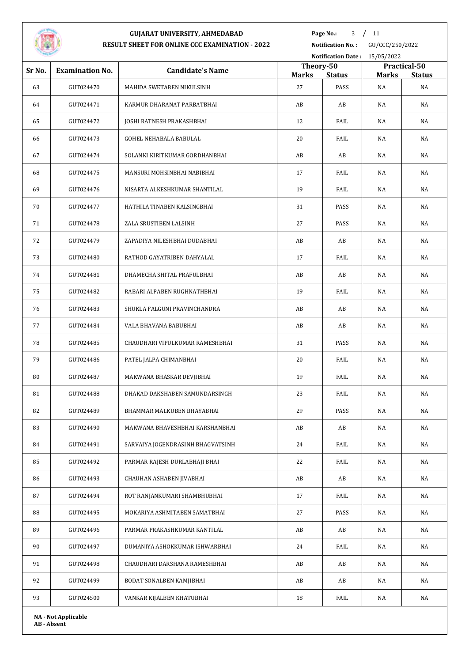

**Page No.:** / 11

**Notification No. :** GU/CCC/250/2022

| <b>STATISTICS</b> |                        |                                   |                    | Notification Date: 15/05/2022 |                    |                     |
|-------------------|------------------------|-----------------------------------|--------------------|-------------------------------|--------------------|---------------------|
| Sr No.            | <b>Examination No.</b> | <b>Candidate's Name</b>           | Theory-50          |                               |                    | Practical-50        |
| 63                | GUT024470              | MAHIDA SWETABEN NIKULSINH         | <b>Marks</b><br>27 | <b>Status</b><br>PASS         | <b>Marks</b><br>NA | <b>Status</b><br>NA |
| 64                | GUT024471              | KARMUR DHARANAT PARBATBHAI        | AB                 | AB                            | NA                 | NA                  |
| 65                | GUT024472              | JOSHI RATNESH PRAKASHBHAI         | 12                 | FAIL                          | NA                 | NA                  |
| 66                | GUT024473              | GOHEL NEHABALA BABULAL            | 20                 | FAIL                          | NA                 | NA                  |
| 67                | GUT024474              | SOLANKI KIRITKUMAR GORDHANBHAI    | AB                 | AB                            | NA                 | NA                  |
| 68                | GUT024475              | MANSURI MOHSINBHAI NABIBHAI       | 17                 | FAIL                          | NA                 | NA                  |
| 69                | GUT024476              | NISARTA ALKESHKUMAR SHANTILAL     | 19                 | FAIL                          | NA                 | NA                  |
| 70                | GUT024477              | HATHILA TINABEN KALSINGBHAI       | 31                 | PASS                          | NA                 | NA                  |
| 71                | GUT024478              | ZALA SRUSTIBEN LALSINH            | 27                 | PASS                          | NA                 | NA                  |
| 72                | GUT024479              | ZAPADIYA NILESHBHAI DUDABHAI      | AB                 | AB                            | NA                 | NA                  |
| 73                | GUT024480              | RATHOD GAYATRIBEN DAHYALAL        | 17                 | FAIL                          | NA                 | NA                  |
| 74                | GUT024481              | DHAMECHA SHITAL PRAFULBHAI        | AB                 | AB                            | NA                 | NA                  |
| 75                | GUT024482              | RABARI ALPABEN RUGHNATHBHAI       | 19                 | FAIL                          | NA                 | NA                  |
| 76                | GUT024483              | SHUKLA FALGUNI PRAVINCHANDRA      | AB                 | AB                            | NA                 | NA                  |
| 77                | GUT024484              | VALA BHAVANA BABUBHAI             | AB                 | AB                            | NA                 | NA                  |
| 78                | GUT024485              | CHAUDHARI VIPULKUMAR RAMESHBHAI   | 31                 | PASS                          | NA                 | NA                  |
| 79                | GUT024486              | PATEL JALPA CHIMANBHAI            | 20                 | FAIL                          | NA                 | NA                  |
| 80                | GUT024487              | MAKWANA BHASKAR DEVJIBHAI         | 19                 | FAIL                          | NA                 | NA                  |
| 81                | GUT024488              | DHAKAD DAKSHABEN SAMUNDARSINGH    | 23                 | FAIL                          | NA                 | NA                  |
| 82                | GUT024489              | BHAMMAR MALKUBEN BHAYABHAI        | 29                 | PASS                          | NA                 | NA                  |
| 83                | GUT024490              | MAKWANA BHAVESHBHAI KARSHANBHAI   | AB                 | AB                            | NA                 | NA                  |
| 84                | GUT024491              | SARVAIYA JOGENDRASINH BHAGVATSINH | 24                 | FAIL                          | NA                 | NA                  |
| 85                | GUT024492              | PARMAR RAJESH DURLABHAJI BHAI     | 22                 | FAIL                          | NA                 | NA                  |
| 86                | GUT024493              | CHAUHAN ASHABEN JIVABHAI          | AB                 | AB                            | NA                 | NA                  |
| 87                | GUT024494              | ROT RANJANKUMARI SHAMBHUBHAI      | 17                 | FAIL                          | NA                 | NA                  |
| 88                | GUT024495              | MOKARIYA ASHMITABEN SAMATBHAI     | 27                 | PASS                          | NA                 | NA                  |
| 89                | GUT024496              | PARMAR PRAKASHKUMAR KANTILAL      | AB                 | AB                            | NA                 | NA                  |
| 90                | GUT024497              | DUMANIYA ASHOKKUMAR ISHWARBHAI    | 24                 | FAIL                          | NA                 | NA                  |
| 91                | GUT024498              | CHAUDHARI DARSHANA RAMESHBHAI     | AB                 | AB                            | NA                 | NA                  |
| 92                | GUT024499              | BODAT SONALBEN KAMJIBHAI          | AB                 | AB                            | NA                 | NA                  |
| 93                | GUT024500              | VANKAR KIJALBEN KHATUBHAI         | 18                 | FAIL                          | NA                 | NA                  |
|                   |                        |                                   |                    |                               |                    |                     |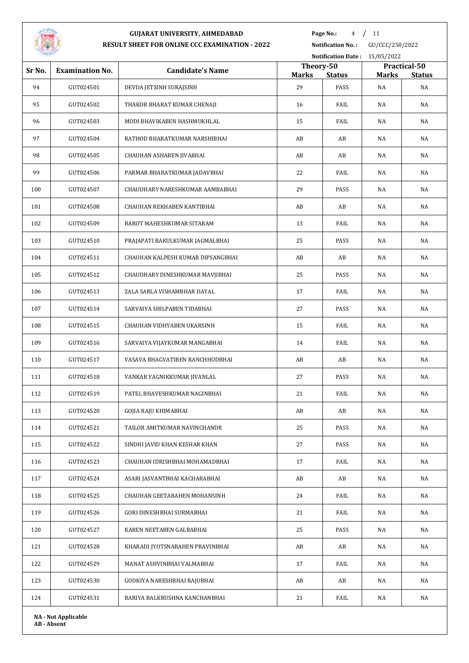

**Page No.:** 4 / 11

**Notification No. :** GU/CCC/250/2022

|        |                            |                                   |                    |                       | Notification Date: 15/05/2022 |                     |
|--------|----------------------------|-----------------------------------|--------------------|-----------------------|-------------------------------|---------------------|
| Sr No. | <b>Examination No.</b>     | <b>Candidate's Name</b>           | Theory-50          |                       |                               | Practical-50        |
| 94     | GUT024501                  | DEVDA JETSINH SURAJSINH           | <b>Marks</b><br>29 | <b>Status</b><br>PASS | <b>Marks</b><br>NA            | <b>Status</b><br>NA |
| 95     | GUT024502                  | THAKOR BHARAT KUMAR CHENAJI       | 16                 | FAIL                  | NA                            | NA                  |
| 96     | GUT024503                  | MODI BHAVIKABEN HASHMUKHLAL       | 15                 | FAIL                  | NA                            | NA                  |
| 97     | GUT024504                  | RATHOD BHARATKUMAR NARSHIBHAI     | AB                 | AB                    | NA                            | NA                  |
| 98     | GUT024505                  | CHAUHAN ASHABEN JIVABHAI          | AB                 | AB                    | NA                            | NA                  |
| 99     | GUT024506                  | PARMAR BHARATKUMAR JADAVBHAI      | 22                 | FAIL                  | NA                            | NA                  |
| 100    | GUT024507                  | CHAUDHARY NARESHKUMAR AAMBABHAI   | 29                 | PASS                  | NA                            | NA                  |
| 101    | GUT024508                  | CHAUHAN REKHABEN KANTIBHAI        | AB                 | AB                    | NA                            | NA                  |
| 102    | GUT024509                  | BAROT MAHESHKUMAR SITARAM         | 13                 | FAIL                  | NA                            | NA                  |
| 103    | GUT024510                  | PRAJAPATI BAKULKUMAR JAGMALBHAI   | 25                 | PASS                  | NA                            | NA                  |
| 104    | GUT024511                  | CHAUHAN KALPESH KUMAR DIPSANGBHAI | AB                 | AB                    | NA                            | NA                  |
| 105    | GUT024512                  | CHAUDHARY DINESHKUMAR MAVIIBHAI   | 25                 | PASS                  | NA                            | NA                  |
| 106    | GUT024513                  | ZALA SARLA VISHAMBHAR DAYAL       | 17                 | FAIL                  | NA                            | NA                  |
| 107    | GUT024514                  | SARVAIYA SHILPABEN TIDABHAI       | 27                 | PASS                  | NA                            | NA                  |
| 108    | GUT024515                  | CHAUHAN VIDHYABEN UKARSINH        | 15                 | FAIL                  | NA                            | NA                  |
| 109    | GUT024516                  | SARVAIYA VIJAYKUMAR MANGABHAI     | 14                 | FAIL                  | NA                            | NA                  |
| 110    | GUT024517                  | VASAVA BHAGVATIBEN RANCHHODBHAI   | AB                 | AB                    | NA                            | NA                  |
| 111    | GUT024518                  | VANKAR YAGNIKKUMAR JIVANLAL       | 27                 | PASS                  | NA                            | NA                  |
| 112    | GUT024519                  | PATEL BHAVESHKUMAR NAGINBHAI      | 21                 | FAIL                  | NA                            | NA                  |
| 113    | GUT024520                  | GOJIA RAJU KHIMABHAI              | AB                 | AB                    | $\rm NA$                      | NA                  |
| 114    | GUT024521                  | TAILOR AMITKUMAR NAVINCHANDR      | 25                 | PASS                  | NA                            | NA                  |
| 115    | GUT024522                  | SINDHI JAVID KHAN KESHAR KHAN     | 27                 | PASS                  | NA                            | NA                  |
| 116    | GUT024523                  | CHAUHAN IDRISHBHAI MOHAMADBHAI    | 17                 | FAIL                  | NA                            | NA                  |
| 117    | GUT024524                  | ASARI JASVANTBHAI KACHARABHAI     | AB                 | AB                    | NA                            | NA                  |
| 118    | GUT024525                  | CHAUHAN GEETABAHEN MOHANSINH      | 24                 | FAIL                  | NA                            | NA                  |
| 119    | GUT024526                  | GORI DINESHBHAI SURMABHAI         | 21                 | FAIL                  | NA                            | NA                  |
| 120    | GUT024527                  | KAREN NEETABEN GALBABHAI          | 25                 | PASS                  | NA                            | NA                  |
| 121    | GUT024528                  | KHARADI JYOTSNABAHEN PRAVINBHAI   | AB                 | AB                    | $\rm NA$                      | NA                  |
| 122    | GUT024529                  | MANAT ASHVINBHAI VALMABHAI        | 17                 | FAIL                  | NA                            | NA                  |
| 123    | GUT024530                  | GODKIYA NARESHBHAI RAJUBHAI       | AB                 | AB                    | NA                            | NA                  |
| 124    | GUT024531                  | BARIYA BALKRUSHNA KANCHANBHAI     | 21                 | FAIL                  | NA                            | NA                  |
|        | <b>NA - Not Applicable</b> |                                   |                    |                       |                               |                     |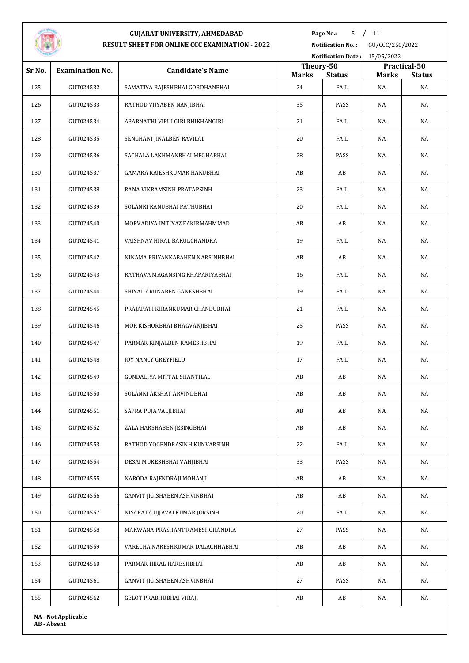

**Page No.:** / 11

**Notification No. :** GU/CCC/250/2022

| <b>STATISTICS</b> |                            |                                  |                    | Notification Date: 15/05/2022 |                    |                     |
|-------------------|----------------------------|----------------------------------|--------------------|-------------------------------|--------------------|---------------------|
| Sr No.            | <b>Examination No.</b>     | <b>Candidate's Name</b>          | Theory-50          |                               |                    | Practical-50        |
| 125               | GUT024532                  | SAMATIYA RAJESHBHAI GORDHANBHAI  | <b>Marks</b><br>24 | <b>Status</b><br>FAIL         | <b>Marks</b><br>NA | <b>Status</b><br>NA |
| 126               | GUT024533                  | RATHOD VIJYABEN NANJIBHAI        | 35                 | PASS                          | NA                 | NA                  |
| 127               | GUT024534                  | APARNATHI VIPULGIRI BHIKHANGIRI  | 21                 | FAIL                          | NA                 | NA                  |
| 128               | GUT024535                  | SENGHANI JINALBEN RAVILAL        | 20                 | FAIL                          | NA                 | NA                  |
| 129               | GUT024536                  | SACHALA LAKHMANBHAI MEGHABHAI    | 28                 | PASS                          | NA                 | NA                  |
| 130               | GUT024537                  | GAMARA RAJESHKUMAR HAKUBHAI      | AB                 | AB                            | NA                 | NA                  |
| 131               | GUT024538                  | RANA VIKRAMSINH PRATAPSINH       | 23                 | FAIL                          | NA                 | NA                  |
| 132               | GUT024539                  | SOLANKI KANUBHAI PATHUBHAI       | 20                 | FAIL                          | NA                 | NA                  |
| 133               | GUT024540                  | MORVADIYA IMTIYAZ FAKIRMAHMMAD   | AB                 | AB                            | NA                 | NA                  |
| 134               | GUT024541                  | VAISHNAV HIRAL BAKULCHANDRA      | 19                 | FAIL                          | NA                 | NA                  |
| 135               | GUT024542                  | NINAMA PRIYANKABAHEN NARSINHBHAI | AB                 | AB                            | NA                 | NA                  |
| 136               | GUT024543                  | RATHAVA MAGANSING KHAPARIYABHAI  | 16                 | FAIL                          | NA                 | NA                  |
| 137               | GUT024544                  | SHIYAL ARUNABEN GANESHBHAI       | 19                 | FAIL                          | NA                 | NA                  |
| 138               | GUT024545                  | PRAJAPATI KIRANKUMAR CHANDUBHAI  | 21                 | FAIL                          | NA                 | NA                  |
| 139               | GUT024546                  | MOR KISHORBHAI BHAGVANJIBHAI     | 25                 | PASS                          | NA                 | NA                  |
| 140               | GUT024547                  | PARMAR KINJALBEN RAMESHBHAI      | 19                 | FAIL                          | NA                 | NA                  |
| 141               | GUT024548                  | <b>JOY NANCY GREYFIELD</b>       | 17                 | FAIL                          | NA                 | NA                  |
| 142               | GUT024549                  | GONDALIYA MITTAL SHANTILAL       | AB                 | AB                            | NA                 | NA                  |
| 143               | GUT024550                  | SOLANKI AKSHAT ARVINDBHAI        | AB                 | AB                            | NA                 | NA                  |
| 144               | GUT024551                  | SAPRA PUJA VALJIBHAI             | AB                 | AB                            | NA                 | NA                  |
| 145               | GUT024552                  | ZALA HARSHABEN JESINGBHAI        | AB                 | AB                            | NA                 | NA                  |
| 146               | GUT024553                  | RATHOD YOGENDRASINH KUNVARSINH   | 22                 | FAIL                          | NA                 | NA                  |
| 147               | GUT024554                  | DESAI MUKESHBHAI VAHJIBHAI       | 33                 | PASS                          | NA                 | NA                  |
| 148               | GUT024555                  | NARODA RAJENDRAJI MOHANJI        | AB                 | AB                            | NA                 | NA                  |
| 149               | GUT024556                  | GANVIT JIGISHABEN ASHVINBHAI     | AB                 | AB                            | NA                 | NA                  |
| 150               | GUT024557                  | NISARATA UJJAVALKUMAR JORSINH    | 20                 | FAIL                          | NA                 | NA                  |
| 151               | GUT024558                  | MAKWANA PRASHANT RAMESHCHANDRA   | 27                 | PASS                          | NA                 | NA                  |
| 152               | GUT024559                  | VARECHA NARESHKUMAR DALACHHABHAI | AB                 | AB                            | NA                 | NA                  |
| 153               | GUT024560                  | PARMAR HIRAL HARESHBHAI          | AB                 | AB                            | NA                 | NA                  |
| 154               | GUT024561                  | GANVIT JIGISHABEN ASHVINBHAI     | 27                 | PASS                          | NA                 | NA                  |
| 155               | GUT024562                  | GELOT PRABHUBHAI VIRAJI          | AB                 | AB                            | NA                 | NA                  |
|                   | <b>NA - Not Applicable</b> |                                  |                    |                               |                    |                     |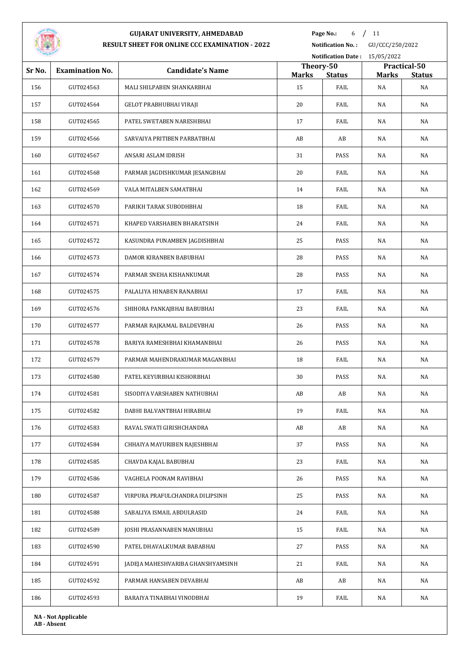

**Page No.:** 6 / 11

**Notification No. :** GU/CCC/250/2022

|        |                        |                                   |                           | Notification Date: 15/05/2022 |              |                               |  |  |
|--------|------------------------|-----------------------------------|---------------------------|-------------------------------|--------------|-------------------------------|--|--|
| Sr No. | <b>Examination No.</b> | <b>Candidate's Name</b>           | Theory-50<br><b>Marks</b> | <b>Status</b>                 | <b>Marks</b> | Practical-50<br><b>Status</b> |  |  |
| 156    | GUT024563              | MALI SHILPABEN SHANKARBHAI        | 15                        | FAIL                          | NA           | NA                            |  |  |
| 157    | GUT024564              | GELOT PRABHUBHAI VIRAJI           | 20                        | FAIL                          | NA           | NA                            |  |  |
| 158    | GUT024565              | PATEL SWETABEN NARESHBHAI         | 17                        | FAIL                          | NA           | NA                            |  |  |
| 159    | GUT024566              | SARVAIYA PRITIBEN PARBATBHAI      | AB                        | AB                            | NA           | NA                            |  |  |
| 160    | GUT024567              | ANSARI ASLAM IDRISH               | 31                        | PASS                          | NA           | NA                            |  |  |
| 161    | GUT024568              | PARMAR JAGDISHKUMAR JESANGBHAI    | 20                        | FAIL                          | NA           | NA                            |  |  |
| 162    | GUT024569              | VALA MITALBEN SAMATBHAI           | 14                        | FAIL                          | NA           | NA                            |  |  |
| 163    | GUT024570              | PARIKH TARAK SUBODHBHAI           | 18                        | FAIL                          | NA           | NA                            |  |  |
| 164    | GUT024571              | KHAPED VARSHABEN BHARATSINH       | 24                        | FAIL                          | NA           | NA                            |  |  |
| 165    | GUT024572              | KASUNDRA PUNAMBEN JAGDISHBHAI     | 25                        | PASS                          | NA           | NA                            |  |  |
| 166    | GUT024573              | DAMOR KIRANBEN BABUBHAI           | 28                        | PASS                          | NA           | NA                            |  |  |
| 167    | GUT024574              | PARMAR SNEHA KISHANKUMAR          | 28                        | PASS                          | NA           | NA                            |  |  |
| 168    | GUT024575              | PALALIYA HINABEN RANABHAI         | 17                        | FAIL                          | NA           | NA                            |  |  |
| 169    | GUT024576              | SHIHORA PANKAJBHAI BABUBHAI       | 23                        | FAIL                          | NA           | NA                            |  |  |
| 170    | GUT024577              | PARMAR RAJKAMAL BALDEVBHAI        | 26                        | PASS                          | NA           | NA                            |  |  |
| 171    | GUT024578              | BARIYA RAMESHBHAI KHAMANBHAI      | 26                        | PASS                          | NA           | NA                            |  |  |
| 172    | GUT024579              | PARMAR MAHENDRAKUMAR MAGANBHAI    | 18                        | FAIL                          | NA           | NA                            |  |  |
| 173    | GUT024580              | PATEL KEYURBHAI KISHORBHAI        | 30                        | PASS                          | NA           | NA                            |  |  |
| 174    | GUT024581              | SISODIYA VARSHABEN NATHUBHAI      | AB                        | AB                            | NA           | NA                            |  |  |
| 175    | GUT024582              | DABHI BALVANTBHAI HIRABHAI        | 19                        | FAIL                          | NA           | NA                            |  |  |
| 176    | GUT024583              | RAVAL SWATI GIRISHCHANDRA         | AB                        | AB                            | NA           | NA                            |  |  |
| 177    | GUT024584              | CHHAIYA MAYURIBEN RAJESHBHAI      | 37                        | PASS                          | NA           | NA                            |  |  |
| 178    | GUT024585              | CHAVDA KAJAL BABUBHAI             | 23                        | FAIL                          | NA           | NA                            |  |  |
| 179    | GUT024586              | VAGHELA POONAM RAVIBHAI           | 26                        | PASS                          | NA           | NA                            |  |  |
| 180    | GUT024587              | VIRPURA PRAFULCHANDRA DILIPSINH   | 25                        | PASS                          | NA           | NA                            |  |  |
| 181    | GUT024588              | SABALIYA ISMAIL ABDULRASID        | 24                        | FAIL                          | NA           | NA                            |  |  |
| 182    | GUT024589              | JOSHI PRASANNABEN MANUBHAI        | 15                        | FAIL                          | NA           | NA                            |  |  |
| 183    | GUT024590              | PATEL DHAVALKUMAR BABABHAI        | 27                        | PASS                          | NA           | NA                            |  |  |
| 184    | GUT024591              | JADEJA MAHESHVARIBA GHANSHYAMSINH | 21                        | FAIL                          | NA           | NA                            |  |  |
| 185    | GUT024592              | PARMAR HANSABEN DEVABHAI          | AB                        | AB                            | NA           | NA                            |  |  |
| 186    | GUT024593              | BARAIYA TINABHAI VINODBHAI        | 19                        | FAIL                          | NA           | NA                            |  |  |
|        |                        |                                   |                           |                               |              |                               |  |  |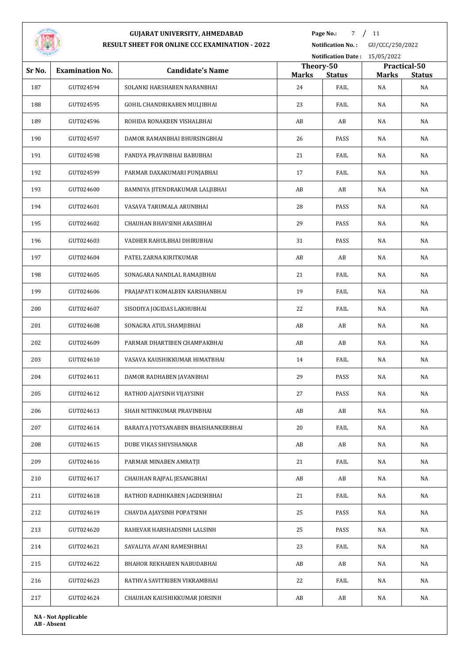

**Page No.:** 7 / 11

**Notification No. :** GU/CCC/250/2022

|        |                        |                                     |                           |               | Notification Date: 15/05/2022 |                               |
|--------|------------------------|-------------------------------------|---------------------------|---------------|-------------------------------|-------------------------------|
| Sr No. | <b>Examination No.</b> | <b>Candidate's Name</b>             | Theory-50<br><b>Marks</b> | <b>Status</b> | <b>Marks</b>                  | Practical-50<br><b>Status</b> |
| 187    | GUT024594              | SOLANKI HARSHABEN NARANBHAI         | 24                        | FAIL          | NA                            | NA                            |
| 188    | GUT024595              | GOHIL CHANDRIKABEN MULJIBHAI        | 23                        | FAIL          | NA                            | NA                            |
| 189    | GUT024596              | ROHIDA RONAKBEN VISHALBHAI          | AB                        | AB            | NA                            | NA                            |
| 190    | GUT024597              | DAMOR RAMANBHAI BHURSINGBHAI        | 26                        | PASS          | NA                            | NA                            |
| 191    | GUT024598              | PANDYA PRAVINBHAI BABUBHAI          | 21                        | FAIL          | <b>NA</b>                     | NA                            |
| 192    | GUT024599              | PARMAR DAXAKUMARI PUNJABHAI         | 17                        | FAIL          | NA                            | NA                            |
| 193    | GUT024600              | BAMNIYA JITENDRAKUMAR LALJIBHAI     | AB                        | AB            | NA                            | NA                            |
| 194    | GUT024601              | VASAVA TARUMALA ARUNBHAI            | 28                        | PASS          | NA                            | NA                            |
| 195    | GUT024602              | CHAUHAN BHAVSINH ARASIBHAI          | 29                        | PASS          | NA                            | NA                            |
| 196    | GUT024603              | VADHER RAHULBHAI DHIRUBHAI          | 31                        | PASS          | NA                            | NA                            |
| 197    | GUT024604              | PATEL ZARNA KIRITKUMAR              | AB                        | AB            | NA                            | NA                            |
| 198    | GUT024605              | SONAGARA NANDLAL RAMAJIBHAI         | 21                        | FAIL          | NA                            | NA                            |
| 199    | GUT024606              | PRAJAPATI KOMALBEN KARSHANBHAI      | 19                        | FAIL          | NA                            | NA                            |
| 200    | GUT024607              | SISODIYA JOGIDAS LAKHUBHAI          | 22                        | FAIL          | NA                            | NA                            |
| 201    | GUT024608              | SONAGRA ATUL SHAMJIBHAI             | AB                        | AB            | NA                            | NA                            |
| 202    | GUT024609              | PARMAR DHARTIBEN CHAMPAKBHAI        | AB                        | AB            | NA                            | NA                            |
| 203    | GUT024610              | VASAVA KAUSHIKKUMAR HIMATBHAI       | 14                        | FAIL          | NA                            | NA                            |
| 204    | GUT024611              | DAMOR RADHABEN JAVANBHAI            | 29                        | PASS          | NA                            | NA                            |
| 205    | GUT024612              | RATHOD AJAYSINH VIJAYSINH           | 27                        | PASS          | NA                            | NA                            |
| 206    | GUT024613              | SHAH NITINKUMAR PRAVINBHAI          | AB                        | AB            | $\rm NA$                      | NA                            |
| 207    | GUT024614              | BARAIYA JYOTSANABEN BHAISHANKERBHAI | 20                        | FAIL          | NA                            | NA                            |
| 208    | GUT024615              | DUBE VIKAS SHIVSHANKAR              | AB                        | AB            | NA                            | NA                            |
| 209    | GUT024616              | PARMAR MINABEN AMRATJI              | 21                        | FAIL          | NA                            | NA                            |
| 210    | GUT024617              | CHAUHAN RAJPAL JESANGBHAI           | AB                        | AB            | NA                            | NA                            |
| 211    | GUT024618              | RATHOD RADHIKABEN JAGDISHBHAI       | 21                        | FAIL          | NA                            | NA                            |
| 212    | GUT024619              | CHAVDA AJAYSINH POPATSINH           | 25                        | PASS          | NA                            | NA                            |
| 213    | GUT024620              | RAHEVAR HARSHADSINH LALSINH         | 25                        | PASS          | NA                            | NA                            |
| 214    | GUT024621              | SAVALIYA AVANI RAMESHBHAI           | 23                        | FAIL          | NA                            | NA                            |
| 215    | GUT024622              | BHAHOR REKHABEN NABUDABHAI          | AB                        | AB            | NA                            | NA                            |
| 216    | GUT024623              | RATHVA SAVITRIBEN VIKRAMBHAI        | 22                        | FAIL          | NA                            | NA                            |
| 217    | GUT024624              | CHAUHAN KAUSHIKKUMAR JORSINH        | AB                        | AB            | NA                            | NA                            |
|        |                        |                                     |                           |               |                               |                               |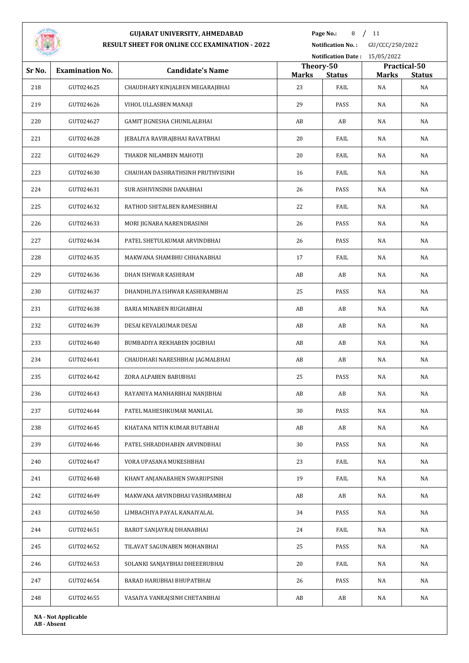

**Page No.:** 8 / 11

**Notification No. :** GU/CCC/250/2022 **Notification Date :** 15/05/2022

| Sr No. | <b>Examination No.</b>     | <b>Candidate's Name</b>          | Theory-50    | $\frac{1}{2}$ |       | Practical-50  |
|--------|----------------------------|----------------------------------|--------------|---------------|-------|---------------|
|        |                            |                                  | <b>Marks</b> | <b>Status</b> | Marks | <b>Status</b> |
| 218    | GUT024625                  | CHAUDHARY KINJALBEN MEGARAJBHAI  | 23           | FAIL          | NA    | NA            |
| 219    | GUT024626                  | VIHOL ULLASBEN MANAJI            | 29           | PASS          | NA    | NA            |
| 220    | GUT024627                  | GAMIT JIGNESHA CHUNILALBHAI      | AB           | AB            | NA    | NA            |
| 221    | GUT024628                  | JEBALIYA RAVIRAJBHAI RAVATBHAI   | 20           | FAIL          | NA    | NA            |
| 222    | GUT024629                  | THAKOR NILAMBEN MAHOTJI          | 20           | FAIL          | NA    | NA            |
| 223    | GUT024630                  | CHAUHAN DASHRATHSINH PRUTHVISINH | 16           | FAIL          | NA    | NA            |
| 224    | GUT024631                  | SUR ASHIVINSINH DANABHAI         | 26           | PASS          | NA    | NA            |
| 225    | GUT024632                  | RATHOD SHITALBEN RAMESHBHAI      | 22           | FAIL          | NA    | NA            |
| 226    | GUT024633                  | MORI JIGNABA NARENDRASINH        | 26           | PASS          | NA    | NA            |
| 227    | GUT024634                  | PATEL SHETULKUMAR ARVINDBHAI     | 26           | PASS          | NA    | NA            |
| 228    | GUT024635                  | MAKWANA SHAMBHU CHHANABHAI       | 17           | FAIL          | NA    | NA            |
| 229    | GUT024636                  | DHAN ISHWAR KASHIRAM             | AB           | AB            | NA    | NA            |
| 230    | GUT024637                  | DHANDHLIYA ISHWAR KASHIRAMBHAI   | 25           | PASS          | NA    | NA            |
| 231    | GUT024638                  | BARIA MINABEN RUGHABHAI          | AB           | AB            | NA    | NA            |
| 232    | GUT024639                  | DESAI KEVALKUMAR DESAI           | AB           | AB            | NA    | NA            |
| 233    | GUT024640                  | BUMBADIYA REKHABEN JOGIBHAI      | AB           | AB            | NA    | NA            |
| 234    | GUT024641                  | CHAUDHARI NARESHBHAI JAGMALBHAI  | AB           | AB            | NA    | NA            |
| 235    | GUT024642                  | ZORA ALPABEN BABUBHAI            | 25           | PASS          | NA    | NA            |
| 236    | GUT024643                  | RAYANIYA MANHARBHAI NANJIBHAI    | AB           | AB            | NA    | NA            |
| 237    | GUT024644                  | PATEL MAHESHKUMAR MANILAL        | 30           | PASS          | NA    | NA            |
| 238    | GUT024645                  | KHATANA NITIN KUMAR BUTABHAI     | AB           | AB            | NA    | NA            |
| 239    | GUT024646                  | PATEL SHRADDHABEN ARVINDBHAI     | 30           | PASS          | NA    | NA            |
| 240    | GUT024647                  | VORA UPASANA MUKESHBHAI          | 23           | FAIL          | NA    | NA            |
| 241    | GUT024648                  | KHANT ANJANABAHEN SWARUPSINH     | 19           | FAIL          | NA    | NA            |
| 242    | GUT024649                  | MAKWANA ARVINDBHAI VASHRAMBHAI   | AB           | AB            | NA    | NA            |
| 243    | GUT024650                  | LIMBACHIYA PAYAL KANAIYALAL      | 34           | PASS          | NA    | NA            |
| 244    | GUT024651                  | BAROT SANJAYRAJ DHANABHAI        | 24           | FAIL          | NA    | NA            |
| 245    | GUT024652                  | TILAVAT SAGUNABEN MOHANBHAI      | 25           | PASS          | NA    | NA            |
| 246    | GUT024653                  | SOLANKI SANJAYBHAI DHEEERUBHAI   | 20           | FAIL          | NA    | NA            |
| 247    | GUT024654                  | BARAD HARUBHAI BHUPATBHAI        | 26           | PASS          | NA    | NA            |
| 248    | GUT024655                  | VASAIYA VANRAJSINH CHETANBHAI    | AB           | AB            | NA    | NA            |
|        | <b>NA - Not Applicable</b> |                                  |              |               |       |               |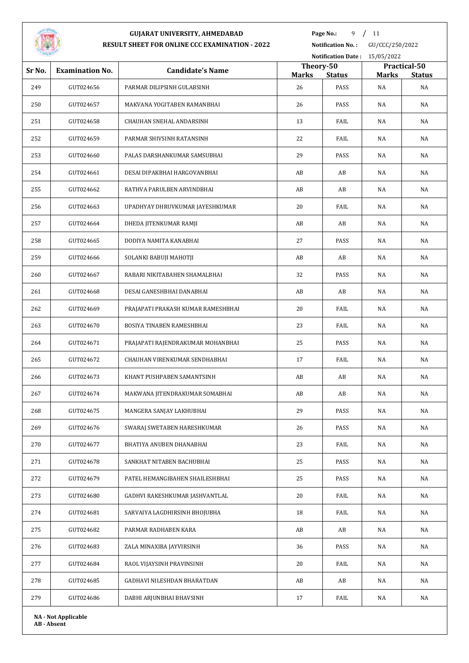

**Page No.:** 9 / 11

**Notification No. :** GU/CCC/250/2022

|        |                            |                                    |                    |                       | Notification Date: 15/05/2022 |                     |  |  |
|--------|----------------------------|------------------------------------|--------------------|-----------------------|-------------------------------|---------------------|--|--|
| Sr No. | <b>Examination No.</b>     | <b>Candidate's Name</b>            | Theory-50          |                       |                               | Practical-50        |  |  |
| 249    | GUT024656                  | PARMAR DILIPSINH GULABSINH         | <b>Marks</b><br>26 | <b>Status</b><br>PASS | <b>Marks</b><br>NA            | <b>Status</b><br>NA |  |  |
| 250    | GUT024657                  | MAKVANA YOGITABEN RAMANBHAI        | 26                 | PASS                  | NA                            | NA                  |  |  |
| 251    | GUT024658                  | CHAUHAN SNEHAL ANDARSINH           | 13                 | FAIL                  | NA                            | NA                  |  |  |
| 252    | GUT024659                  | PARMAR SHIVSINH RATANSINH          | 22                 | FAIL                  | NA                            | NA                  |  |  |
| 253    | GUT024660                  | PALAS DARSHANKUMAR SAMSUBHAI       | 29                 | PASS                  | NA                            | NA                  |  |  |
| 254    | GUT024661                  | DESAI DIPAKBHAI HARGOVANBHAI       | AB                 | AB                    | NA                            | NA                  |  |  |
| 255    | GUT024662                  | RATHVA PARULBEN ARVINDBHAI         | AB                 | AB                    | NA                            | NA                  |  |  |
| 256    | GUT024663                  | UPADHYAY DHRUVKUMAR JAYESHKUMAR    | 20                 | FAIL                  | NA                            | NA                  |  |  |
| 257    | GUT024664                  | DHEDA JITENKUMAR RAMJI             | AB                 | AB                    | NA                            | NA                  |  |  |
| 258    | GUT024665                  | DODIYA NAMITA KANABHAI             | 27                 | PASS                  | NA                            | NA                  |  |  |
| 259    | GUT024666                  | SOLANKI BABUJI MAHOTJI             | AB                 | AB                    | NA                            | NA                  |  |  |
| 260    | GUT024667                  | RABARI NIKITABAHEN SHAMALBHAI      | 32                 | PASS                  | NA                            | NA                  |  |  |
| 261    | GUT024668                  | DESAI GANESHBHAI DANABHAI          | AB                 | AB                    | NA                            | NA                  |  |  |
| 262    | GUT024669                  | PRAJAPATI PRAKASH KUMAR RAMESHBHAI | 20                 | FAIL                  | NA                            | NA                  |  |  |
| 263    | GUT024670                  | BOSIYA TINABEN RAMESHBHAI          | 23                 | FAIL                  | NA                            | NA                  |  |  |
| 264    | GUT024671                  | PRAJAPATI RAJENDRAKUMAR MOHANBHAI  | 25                 | PASS                  | NA                            | NA                  |  |  |
| 265    | GUT024672                  | CHAUHAN VIRENKUMAR SENDHABHAI      | 17                 | FAIL                  | NA                            | NA                  |  |  |
| 266    | GUT024673                  | KHANT PUSHPABEN SAMANTSINH         | AB                 | AB                    | NA                            | NA                  |  |  |
| 267    | GUT024674                  | MAKWANA JITENDRAKUMAR SOMABHAI     | AB                 | AB                    | NA                            | NA                  |  |  |
| 268    | GUT024675                  | MANGERA SANJAY LAKHUBHAI           | 29                 | PASS                  | $\rm NA$                      | NA                  |  |  |
| 269    | GUT024676                  | SWARAJ SWETABEN HARESHKUMAR        | 26                 | PASS                  | NA                            | NA                  |  |  |
| 270    | GUT024677                  | BHATIYA ANUBEN DHANABHAI           | 23                 | FAIL                  | NA                            | NA                  |  |  |
| 271    | GUT024678                  | SANKHAT NITABEN BACHUBHAI          | 25                 | PASS                  | NA                            | NA                  |  |  |
| 272    | GUT024679                  | PATEL HEMANGIBAHEN SHAILESHBHAI    | 25                 | PASS                  | NA                            | NA                  |  |  |
| 273    | GUT024680                  | GADHVI RAKESHKUMAR JASHVANTLAL     | 20                 | FAIL                  | NA                            | NA                  |  |  |
| 274    | GUT024681                  | SARVAIYA LAGDHIRSINH BHOJUBHA      | 18                 | FAIL                  | NA                            | NA                  |  |  |
| 275    | GUT024682                  | PARMAR RADHABEN KARA               | AB                 | AB                    | NA                            | NA                  |  |  |
| 276    | GUT024683                  | ZALA MINAXIBA JAYVIRSINH           | 36                 | PASS                  | NA                            | NA                  |  |  |
| 277    | GUT024684                  | RAOL VIJAYSINH PRAVINSINH          | 20                 | FAIL                  | NA                            | NA                  |  |  |
| 278    | GUT024685                  | GADHAVI NILESHDAN BHARATDAN        | AB                 | AB                    | NA                            | NA                  |  |  |
| 279    | GUT024686                  | DABHI ARJUNBHAI BHAVSINH           | 17                 | FAIL                  | NA                            | NA                  |  |  |
|        | <b>NA - Not Applicable</b> |                                    |                    |                       |                               |                     |  |  |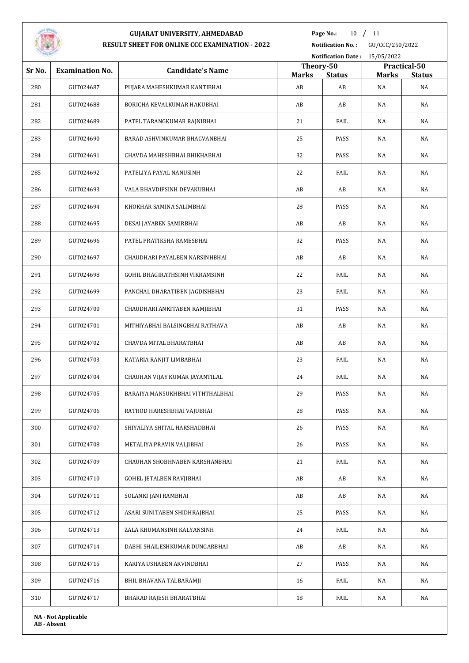

**Page No.:** / 11

**Notification No. :** GU/CCC/250/2022

|        |                        |                                  |                           | Notification Date: 15/05/2022 |              |                               |
|--------|------------------------|----------------------------------|---------------------------|-------------------------------|--------------|-------------------------------|
| Sr No. | <b>Examination No.</b> | <b>Candidate's Name</b>          | Theory-50<br><b>Marks</b> | <b>Status</b>                 | <b>Marks</b> | Practical-50<br><b>Status</b> |
| 280    | GUT024687              | PUJARA MAHESHKUMAR KANTIBHAI     | AB                        | AB                            | NA           | NA                            |
| 281    | GUT024688              | BORICHA KEVALKUMAR HAKUBHAI      | AB                        | AB                            | NA           | NA                            |
| 282    | GUT024689              | PATEL TARANGKUMAR RAJNIBHAI      | 21                        | FAIL                          | NA           | NA                            |
| 283    | GUT024690              | BARAD ASHVINKUMAR BHAGVANBHAI    | 25                        | PASS                          | NA           | NA                            |
| 284    | GUT024691              | CHAVDA MAHESHBHAI BHIKHABHAI     | 32                        | PASS                          | NA           | NA                            |
| 285    | GUT024692              | PATELIYA PAYAL NANUSINH          | 22                        | FAIL                          | NA           | NA                            |
| 286    | GUT024693              | VALA BHAVDIPSINH DEVAKUBHAI      | AB                        | AB                            | NA           | NA                            |
| 287    | GUT024694              | KHOKHAR SAMINA SALIMBHAI         | 28                        | PASS                          | NA           | NA                            |
| 288    | GUT024695              | DESAI JAYABEN SAMIRBHAI          | AB                        | AB                            | NA           | NA                            |
| 289    | GUT024696              | PATEL PRATIKSHA RAMESBHAI        | 32                        | PASS                          | NA           | NA                            |
| 290    | GUT024697              | CHAUDHARI PAYALBEN NARSINHBHAI   | AB                        | AB                            | NA           | NA                            |
| 291    | GUT024698              | GOHIL BHAGIRATHSINH VIKRAMSINH   | 22                        | FAIL                          | NA           | NA                            |
| 292    | GUT024699              | PANCHAL DHARATIBEN JAGDISHBHAI   | 23                        | FAIL                          | NA           | NA                            |
| 293    | GUT024700              | CHAUDHARI ANKITABEN RAMJIBHAI    | 31                        | PASS                          | NA           | NA                            |
| 294    | GUT024701              | MITHIYABHAI BALSINGBHAI RATHAVA  | AB                        | AB                            | NA           | NA                            |
| 295    | GUT024702              | CHAVDA MITAL BHARATBHAI          | AB                        | AB                            | NA           | NA                            |
| 296    | GUT024703              | KATARIA RANJIT LIMBABHAI         | 23                        | FAIL                          | NA           | NA                            |
| 297    | GUT024704              | CHAUHAN VIJAY KUMAR JAYANTILAL   | 24                        | FAIL                          | NA           | NA                            |
| 298    | GUT024705              | BARAIYA MANSUKHBHAI VITHTHALBHAI | 29                        | PASS                          | NA           | NA                            |
| 299    | GUT024706              | RATHOD HARESHBHAI VAJUBHAI       | ${\bf 28}$                | PASS                          | NA           | NA                            |
| 300    | GUT024707              | SHIYALIYA SHITAL HARSHADBHAI     | 26                        | PASS                          | NA           | NA                            |
| 301    | GUT024708              | METALIYA PRAVIN VALJIBHAI        | 26                        | PASS                          | NA           | NA                            |
| 302    | GUT024709              | CHAUHAN SHOBHNABEN KARSHANBHAI   | 21                        | FAIL                          | NA           | NA                            |
| 303    | GUT024710              | GOHEL JETALBEN RAVJIBHAI         | AB                        | AB                            | NA           | NA                            |
| 304    | GUT024711              | SOLANKI JANI RAMBHAI             | AB                        | AB                            | NA           | NA                            |
| 305    | GUT024712              | ASARI SUNITABEN SHIDHRAJBHAI     | 25                        | PASS                          | NA           | NA                            |
| 306    | GUT024713              | ZALA KHUMANSINH KALYANSINH       | 24                        | FAIL                          | NA           | NA                            |
| 307    | GUT024714              | DABHI SHAILESHKUMAR DUNGARBHAI   | AB                        | AB                            | NA           | NA                            |
| 308    | GUT024715              | KARIYA USHABEN ARVINDBHAI        | 27                        | PASS                          | NA           | NA                            |
| 309    | GUT024716              | BHIL BHAVANA TALBARAMJI          | 16                        | FAIL                          | NA           | NA                            |
|        |                        |                                  | 18                        | FAIL                          |              |                               |